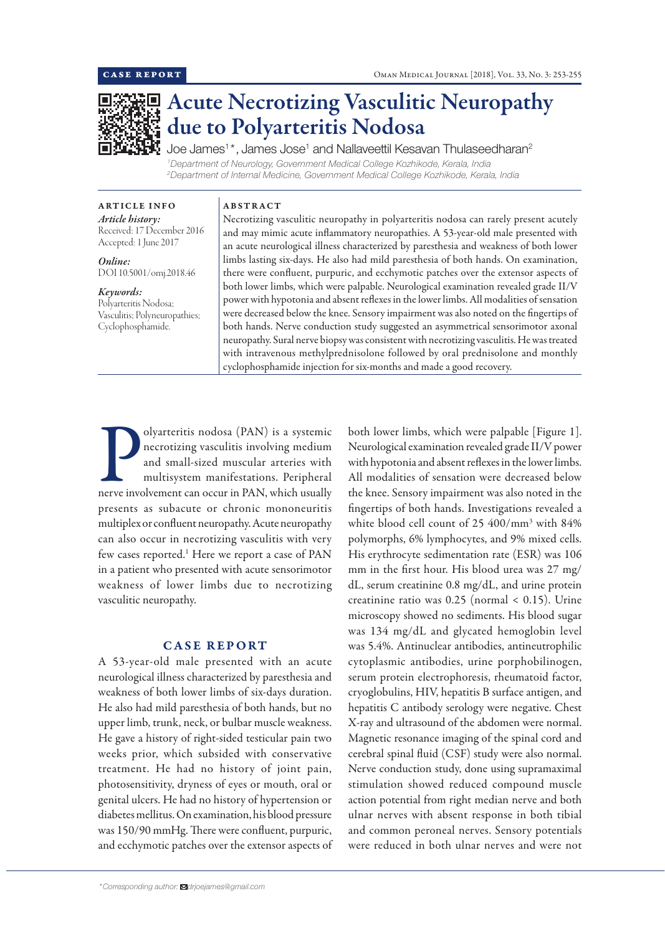

# Acute Necrotizing Vasculitic Neuropathy due to Polyarteritis Nodosa

Joe James<sup>1\*</sup>, James Jose<sup>1</sup> and Nallaveettil Kesavan Thulaseedharan<sup>2</sup> *1 Department of Neurology, Government Medical College Kozhikode, Kerala, India 2 Department of Internal Medicine, Government Medical College Kozhikode, Kerala, India*

ARTICLE INFO *Article history:* Received: 17 December 2016 Accepted: 1 June 2017

*Online:* DOI 10.5001/omj.2018.46

*Keywords:*  Polyarteritis Nodosa;

Vasculitis; Polyneuropathies; Cyclophosphamide.

### ABSTRACT

Necrotizing vasculitic neuropathy in polyarteritis nodosa can rarely present acutely and may mimic acute inflammatory neuropathies. A 53-year-old male presented with an acute neurological illness characterized by paresthesia and weakness of both lower limbs lasting six-days. He also had mild paresthesia of both hands. On examination, there were confluent, purpuric, and ecchymotic patches over the extensor aspects of both lower limbs, which were palpable. Neurological examination revealed grade II/V power with hypotonia and absent reflexes in the lower limbs. All modalities of sensation were decreased below the knee. Sensory impairment was also noted on the fingertips of both hands. Nerve conduction study suggested an asymmetrical sensorimotor axonal neuropathy. Sural nerve biopsy was consistent with necrotizing vasculitis. He was treated with intravenous methylprednisolone followed by oral prednisolone and monthly cyclophosphamide injection for six-months and made a good recovery.

Olyarteritis nodosa (PAN) is a systemic<br>necrotizing vasculitis involving medium<br>and small-sized muscular arteries with<br>multisystem manifestations. Peripheral<br>nerve involvement can occur in PAN, which usually olyarteritis nodosa (PAN) is a systemic necrotizing vasculitis involving medium and small-sized muscular arteries with multisystem manifestations. Peripheral presents as subacute or chronic mononeuritis multiplex or confluent neuropathy. Acute neuropathy can also occur in necrotizing vasculitis with very few cases reported.<sup>1</sup> Here we report a case of PAN in a patient who presented with acute sensorimotor weakness of lower limbs due to necrotizing vasculitic neuropathy.

# CASE REPORT

A 53-year-old male presented with an acute neurological illness characterized by paresthesia and weakness of both lower limbs of six-days duration. He also had mild paresthesia of both hands, but no upper limb, trunk, neck, or bulbar muscle weakness. He gave a history of right-sided testicular pain two weeks prior, which subsided with conservative treatment. He had no history of joint pain, photosensitivity, dryness of eyes or mouth, oral or genital ulcers. He had no history of hypertension or diabetes mellitus. On examination, his blood pressure was 150/90 mmHg. There were confluent, purpuric, and ecchymotic patches over the extensor aspects of both lower limbs, which were palpable [Figure 1]. Neurological examination revealed grade II/V power with hypotonia and absent reflexes in the lower limbs. All modalities of sensation were decreased below the knee. Sensory impairment was also noted in the fingertips of both hands. Investigations revealed a white blood cell count of 25 400/mm3 with 84% polymorphs, 6% lymphocytes, and 9% mixed cells. His erythrocyte sedimentation rate (ESR) was 106 mm in the first hour. His blood urea was 27 mg/ dL, serum creatinine 0.8 mg/dL, and urine protein creatinine ratio was 0.25 (normal < 0.15). Urine microscopy showed no sediments. His blood sugar was 134 mg/dL and glycated hemoglobin level was 5.4%. Antinuclear antibodies, antineutrophilic cytoplasmic antibodies, urine porphobilinogen, serum protein electrophoresis, rheumatoid factor, cryoglobulins, HIV, hepatitis B surface antigen, and hepatitis C antibody serology were negative. Chest X-ray and ultrasound of the abdomen were normal. Magnetic resonance imaging of the spinal cord and cerebral spinal fluid (CSF) study were also normal. Nerve conduction study, done using supramaximal stimulation showed reduced compound muscle action potential from right median nerve and both ulnar nerves with absent response in both tibial and common peroneal nerves. Sensory potentials were reduced in both ulnar nerves and were not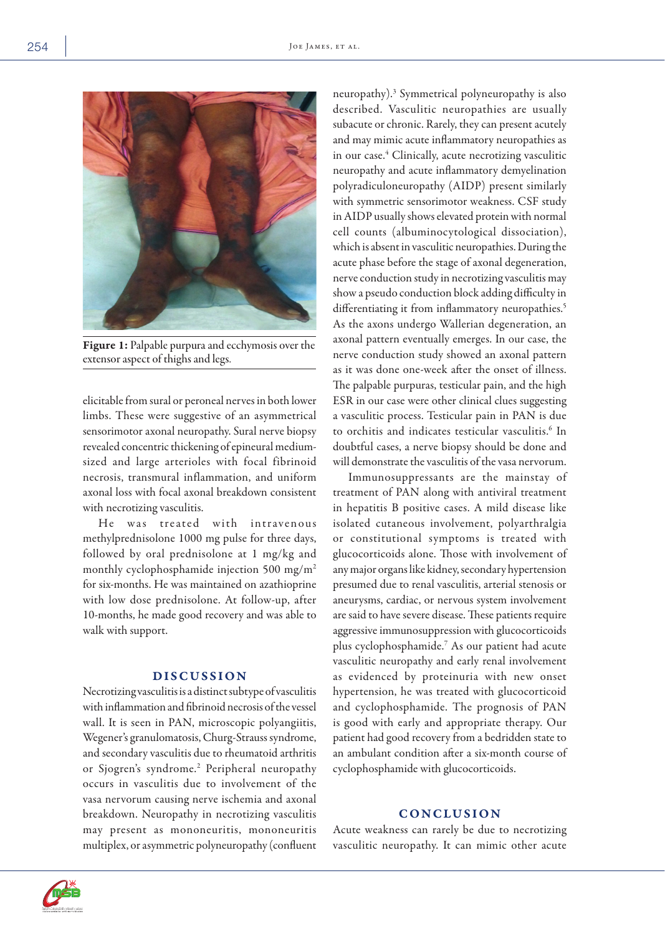

Figure 1: Palpable purpura and ecchymosis over the extensor aspect of thighs and legs.

elicitable from sural or peroneal nerves in both lower limbs. These were suggestive of an asymmetrical sensorimotor axonal neuropathy. Sural nerve biopsy revealed concentric thickening of epineural mediumsized and large arterioles with focal fibrinoid necrosis, transmural inflammation, and uniform axonal loss with focal axonal breakdown consistent with necrotizing vasculitis.

He was treated with intravenous methylprednisolone 1000 mg pulse for three days, followed by oral prednisolone at 1 mg/kg and monthly cyclophosphamide injection 500 mg/m2 for six-months. He was maintained on azathioprine with low dose prednisolone. At follow-up, after 10-months, he made good recovery and was able to walk with support.

# DISCUSSION

Necrotizing vasculitis is a distinct subtype of vasculitis with inflammation and fibrinoid necrosis of the vessel wall. It is seen in PAN, microscopic polyangiitis, Wegener's granulomatosis, Churg-Strauss syndrome, and secondary vasculitis due to rheumatoid arthritis or Sjogren's syndrome.<sup>2</sup> Peripheral neuropathy occurs in vasculitis due to involvement of the vasa nervorum causing nerve ischemia and axonal breakdown. Neuropathy in necrotizing vasculitis may present as mononeuritis, mononeuritis multiplex, or asymmetric polyneuropathy (confluent

neuropathy).3 Symmetrical polyneuropathy is also described. Vasculitic neuropathies are usually subacute or chronic. Rarely, they can present acutely and may mimic acute inflammatory neuropathies as in our case.<sup>4</sup> Clinically, acute necrotizing vasculitic neuropathy and acute inflammatory demyelination polyradiculoneuropathy (AIDP) present similarly with symmetric sensorimotor weakness. CSF study in AIDP usually shows elevated protein with normal cell counts (albuminocytological dissociation), which is absent in vasculitic neuropathies. During the acute phase before the stage of axonal degeneration, nerve conduction study in necrotizing vasculitis may show a pseudo conduction block adding difficulty in differentiating it from inflammatory neuropathies.<sup>5</sup> As the axons undergo Wallerian degeneration, an axonal pattern eventually emerges. In our case, the nerve conduction study showed an axonal pattern as it was done one-week after the onset of illness. The palpable purpuras, testicular pain, and the high ESR in our case were other clinical clues suggesting a vasculitic process. Testicular pain in PAN is due to orchitis and indicates testicular vasculitis.<sup>6</sup> In doubtful cases, a nerve biopsy should be done and will demonstrate the vasculitis of the vasa nervorum.

Immunosuppressants are the mainstay of treatment of PAN along with antiviral treatment in hepatitis B positive cases. A mild disease like isolated cutaneous involvement, polyarthralgia or constitutional symptoms is treated with glucocorticoids alone. Those with involvement of any major organs like kidney, secondary hypertension presumed due to renal vasculitis, arterial stenosis or aneurysms, cardiac, or nervous system involvement are said to have severe disease. These patients require aggressive immunosuppression with glucocorticoids plus cyclophosphamide.7 As our patient had acute vasculitic neuropathy and early renal involvement as evidenced by proteinuria with new onset hypertension, he was treated with glucocorticoid and cyclophosphamide. The prognosis of PAN is good with early and appropriate therapy. Our patient had good recovery from a bedridden state to an ambulant condition after a six-month course of cyclophosphamide with glucocorticoids.

## **CONCLUSION**

Acute weakness can rarely be due to necrotizing vasculitic neuropathy. It can mimic other acute